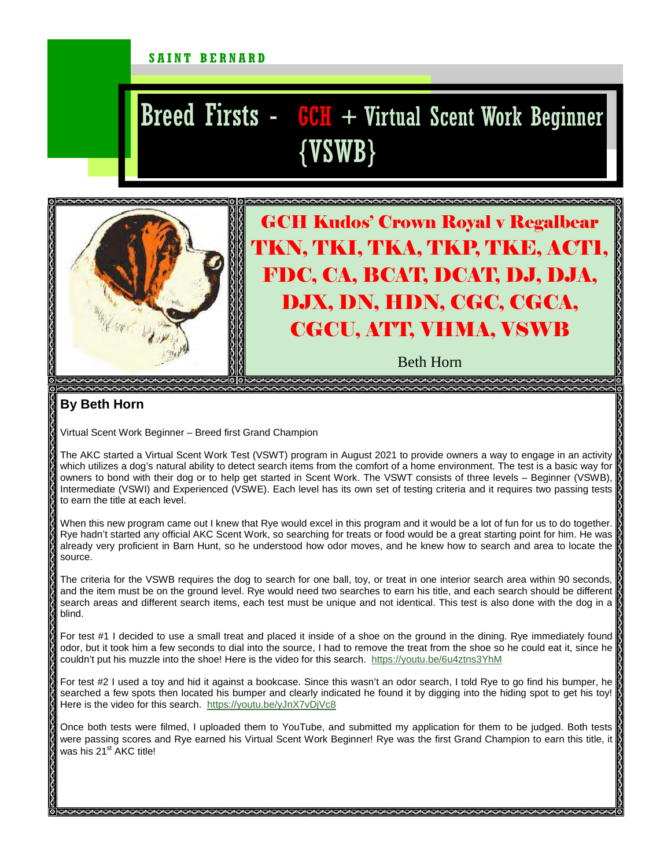#### SAINT BERNARD

# $Breed$  Firsts -  $GCH$  + Virtual Scent Work Beginner {VSWB}



## GCH Kudos' Crown Royal v Regalbear TKN, TKI, TKA, TKP, TKE, ACT1, FDC, CA, BCAT, DCAT, DJ, DJA, DJX, DN, HDN, CGC, CGCA, CGCU, ATT, VHMA, VSWB

Beth Horn

### **By Beth Horn**

Virtual Scent Work Beginner – Breed first Grand Champion

The AKC started a Virtual Scent Work Test (VSWT) program in August 2021 to provide owners a way to engage in an activity which utilizes a dog's natural ability to detect search items from the comfort of a home environment. The test is a basic way for owners to bond with their dog or to help get started in Scent Work. The VSWT consists of three levels – Beginner (VSWB), Intermediate (VSWI) and Experienced (VSWE). Each level has its own set of testing criteria and it requires two passing tests to earn the title at each level.

When this new program came out I knew that Rye would excel in this program and it would be a lot of fun for us to do together. Rye hadn't started any official AKC Scent Work, so searching for treats or food would be a great starting point for him. He was already very proficient in Barn Hunt, so he understood how odor moves, and he knew how to search and area to locate the source.

The criteria for the VSWB requires the dog to search for one ball, toy, or treat in one interior search area within 90 seconds, and the item must be on the ground level. Rye would need two searches to earn his title, and each search should be different search areas and different search items, each test must be unique and not identical. This test is also done with the dog in a blind.

For test #1 I decided to use a small treat and placed it inside of a shoe on the ground in the dining. Rye immediately found odor, but it took him a few seconds to dial into the source, I had to remove the treat from the shoe so he could eat it, since he couldn't put his muzzle into the shoe! Here is the video for this search. https://youtu.be/6u4ztns3YhM

For test #2 I used a toy and hid it against a bookcase. Since this wasn't an odor search, I told Rye to go find his bumper, he searched a few spots then located his bumper and clearly indicated he found it by digging into the hiding spot to get his toy! Here is the video for this search. https://youtu.be/yJnX7vDjVc8

Once both tests were filmed, I uploaded them to YouTube, and submitted my application for them to be judged. Both tests were passing scores and Rye earned his Virtual Scent Work Beginner! Rye was the first Grand Champion to earn this title, it was his 21<sup>st</sup> AKC title!